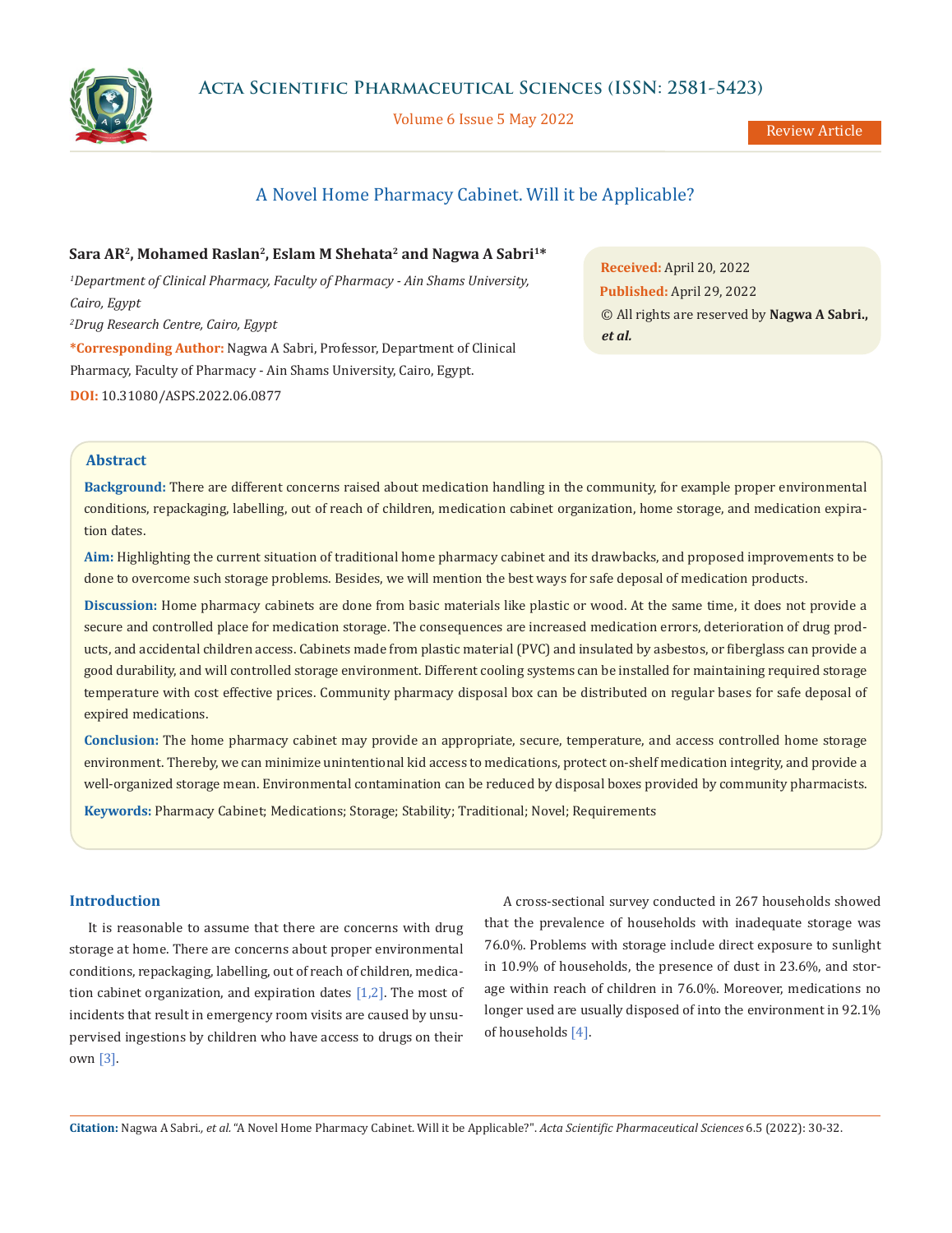

Volume 6 Issue 5 May 2022

Review Article

# A Novel Home Pharmacy Cabinet. Will it be Applicable?

**Sara AR2, Mohamed Raslan2, Eslam M Shehata2 and Nagwa A Sabri1\*** *1 Department of Clinical Pharmacy, Faculty of Pharmacy - Ain Shams University, Cairo, Egypt 2 Drug Research Centre, Cairo, Egypt* **\*Corresponding Author:** Nagwa A Sabri, Professor, Department of Clinical Pharmacy, Faculty of Pharmacy - Ain Shams University, Cairo, Egypt. **DOI:** [10.31080/ASPS.2022.06.0877](https://actascientific.com/ASPS/pdf/ASPS-06-0877.pdf)

**Received:** April 20, 2022 **Published:** April 29, 2022 © All rights are reserved by **Nagwa A Sabri.,**  *et al.*

# **Abstract**

**Background:** There are different concerns raised about medication handling in the community, for example proper environmental conditions, repackaging, labelling, out of reach of children, medication cabinet organization, home storage, and medication expiration dates.

**Aim:** Highlighting the current situation of traditional home pharmacy cabinet and its drawbacks, and proposed improvements to be done to overcome such storage problems. Besides, we will mention the best ways for safe deposal of medication products.

**Discussion:** Home pharmacy cabinets are done from basic materials like plastic or wood. At the same time, it does not provide a secure and controlled place for medication storage. The consequences are increased medication errors, deterioration of drug products, and accidental children access. Cabinets made from plastic material (PVC) and insulated by asbestos, or fiberglass can provide a good durability, and will controlled storage environment. Different cooling systems can be installed for maintaining required storage temperature with cost effective prices. Community pharmacy disposal box can be distributed on regular bases for safe deposal of expired medications.

**Conclusion:** The home pharmacy cabinet may provide an appropriate, secure, temperature, and access controlled home storage environment. Thereby, we can minimize unintentional kid access to medications, protect on-shelf medication integrity, and provide a well-organized storage mean. Environmental contamination can be reduced by disposal boxes provided by community pharmacists. **Keywords:** Pharmacy Cabinet; Medications; Storage; Stability; Traditional; Novel; Requirements

# **Introduction**

It is reasonable to assume that there are concerns with drug storage at home. There are concerns about proper environmental conditions, repackaging, labelling, out of reach of children, medication cabinet organization, and expiration dates  $[1,2]$ . The most of incidents that result in emergency room visits are caused by unsupervised ingestions by children who have access to drugs on their own [3].

A cross-sectional survey conducted in 267 households showed that the prevalence of households with inadequate storage was 76.0%. Problems with storage include direct exposure to sunlight in 10.9% of households, the presence of dust in 23.6%, and storage within reach of children in 76.0%. Moreover, medications no longer used are usually disposed of into the environment in 92.1% of households [4].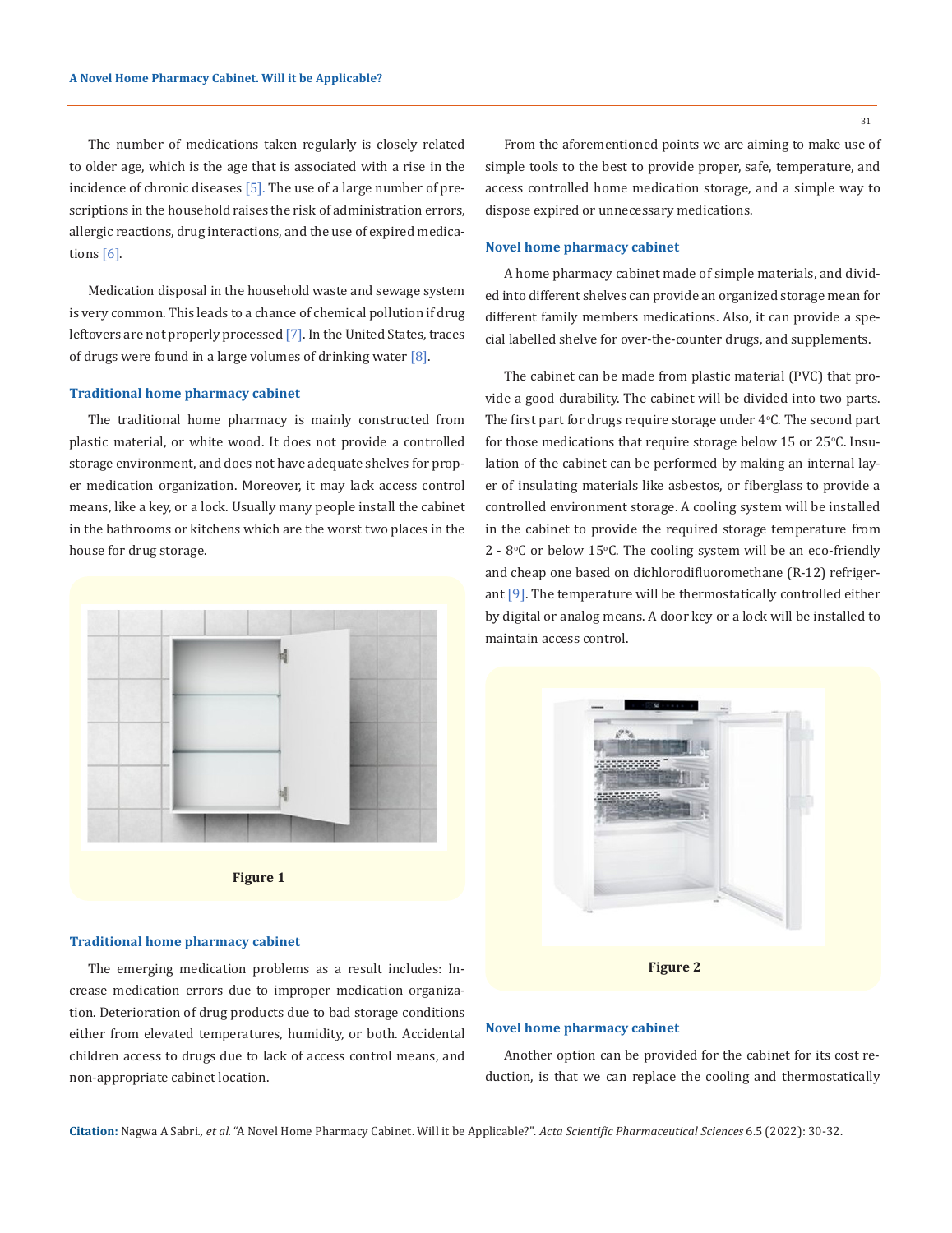The number of medications taken regularly is closely related to older age, which is the age that is associated with a rise in the incidence of chronic diseases  $[5]$ . The use of a large number of prescriptions in the household raises the risk of administration errors, allergic reactions, drug interactions, and the use of expired medications [6].

Medication disposal in the household waste and sewage system is very common. This leads to a chance of chemical pollution if drug leftovers are not properly processed [7]. In the United States, traces of drugs were found in a large volumes of drinking water  $[8]$ .

### **Traditional home pharmacy cabinet**

The traditional home pharmacy is mainly constructed from plastic material, or white wood. It does not provide a controlled storage environment, and does not have adequate shelves for proper medication organization. Moreover, it may lack access control means, like a key, or a lock. Usually many people install the cabinet in the bathrooms or kitchens which are the worst two places in the house for drug storage.



**Figure 1**

# **Traditional home pharmacy cabinet**

The emerging medication problems as a result includes: Increase medication errors due to improper medication organization. Deterioration of drug products due to bad storage conditions either from elevated temperatures, humidity, or both. Accidental children access to drugs due to lack of access control means, and non-appropriate cabinet location.

### **Novel home pharmacy cabinet**

dispose expired or unnecessary medications.

A home pharmacy cabinet made of simple materials, and divided into different shelves can provide an organized storage mean for different family members medications. Also, it can provide a special labelled shelve for over-the-counter drugs, and supplements.

The cabinet can be made from plastic material (PVC) that provide a good durability. The cabinet will be divided into two parts. The first part for drugs require storage under  $4^{\circ}$ C. The second part  $\;$ for those medications that require storage below  $15$  or  $25^{\circ}$ C. Insulation of the cabinet can be performed by making an internal layer of insulating materials like asbestos, or fiberglass to provide a controlled environment storage. A cooling system will be installed in the cabinet to provide the required storage temperature from  $2$  -  $8^{\circ}$ C or below 15°C. The cooling system will be an eco-friendly and cheap one based on dichlorodifluoromethane (R-12) refrigerant [9]. The temperature will be thermostatically controlled either by digital or analog means. A door key or a lock will be installed to maintain access control.



## **Novel home pharmacy cabinet**

Another option can be provided for the cabinet for its cost reduction, is that we can replace the cooling and thermostatically